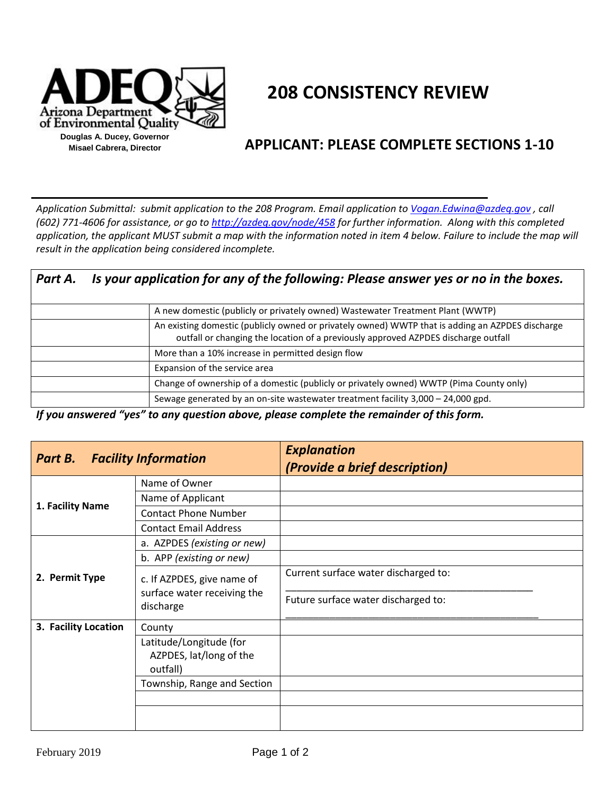

## **208 CONSISTENCY REVIEW**

## **APPLICANT: PLEASE COMPLETE SECTIONS 1-10**

*Application Submittal: submit application to the 208 Program. Email application t[o Vogan.Edwina@azdeq.gov](mailto:Vogan.Edwina@azdeq.gov) , call (602) 771-4606 for assistance, or go t[o http://azdeq.gov/node/458](http://azdeq.gov/node/458) for further information. Along with this completed*  85701 application, the applicant MUST submit a map with the information noted in item 4 below. Failure to include the map will *result in the application being considered incomplete.*  $\overline{\phantom{a}}$  we street the congress  $\overline{\phantom{a}}$ lication Submittal: submit a

| Part A. | Is your application for any of the following: Please answer yes or no in the boxes. |                                                                                                                                                                                        |  |
|---------|-------------------------------------------------------------------------------------|----------------------------------------------------------------------------------------------------------------------------------------------------------------------------------------|--|
|         |                                                                                     | A new domestic (publicly or privately owned) Wastewater Treatment Plant (WWTP)                                                                                                         |  |
|         |                                                                                     | An existing domestic (publicly owned or privately owned) WWTP that is adding an AZPDES discharge<br>outfall or changing the location of a previously approved AZPDES discharge outfall |  |
|         |                                                                                     | More than a 10% increase in permitted design flow                                                                                                                                      |  |
|         |                                                                                     | Expansion of the service area                                                                                                                                                          |  |
|         |                                                                                     | Change of ownership of a domestic (publicly or privately owned) WWTP (Pima County only)                                                                                                |  |
|         |                                                                                     | Sewage generated by an on-site wastewater treatment facility 3,000 - 24,000 gpd.                                                                                                       |  |

*If you answered "yes" to any question above, please complete the remainder of this form.*

| <b>Part B.</b> Facility Information |                                                                        | <b>Explanation</b><br>(Provide a brief description) |
|-------------------------------------|------------------------------------------------------------------------|-----------------------------------------------------|
|                                     | Name of Owner                                                          |                                                     |
| 1. Facility Name                    | Name of Applicant                                                      |                                                     |
|                                     | <b>Contact Phone Number</b>                                            |                                                     |
|                                     | <b>Contact Email Address</b>                                           |                                                     |
|                                     | a. AZPDES (existing or new)                                            |                                                     |
|                                     | b. APP (existing or new)                                               |                                                     |
| 2. Permit Type                      | c. If AZPDES, give name of<br>surface water receiving the<br>discharge | Current surface water discharged to:                |
|                                     |                                                                        | Future surface water discharged to:                 |
| 3. Facility Location                | County                                                                 |                                                     |
|                                     | Latitude/Longitude (for<br>AZPDES, lat/long of the<br>outfall)         |                                                     |
|                                     | Township, Range and Section                                            |                                                     |
|                                     |                                                                        |                                                     |
|                                     |                                                                        |                                                     |